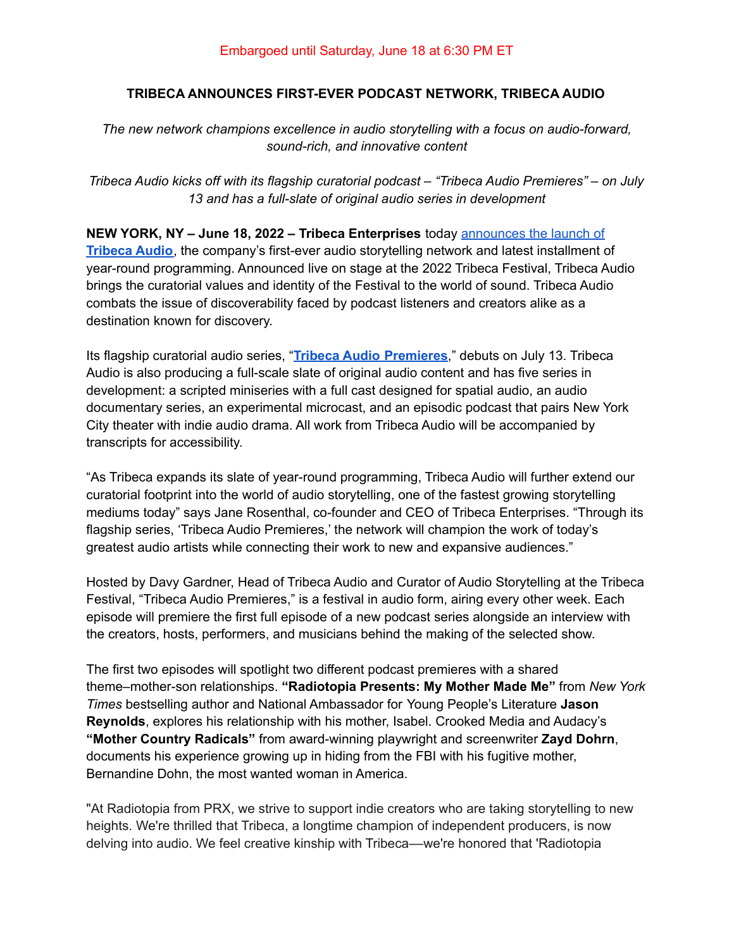## **TRIBECA ANNOUNCES FIRST-EVER PODCAST NETWORK, TRIBECA AUDIO**

*The new network champions excellence in audio storytelling with a focus on audio-forward, sound-rich, and innovative content*

*Tribeca Audio kicks off with its flagship curatorial podcast – "Tribeca Audio Premieres" – on July 13 and has a full-slate of original audio series in development*

**NEW YORK, NY – June 18, 2022 – Tribeca Enterprises** today [announces](https://tribecafilm.com/news/tribeca-announces-fest-ever-podcast-network-tribeca-audio) the launch of **[Tribeca](https://tribecafilm.com/news/tribeca-announces-fest-ever-podcast-network-tribeca-audio) Audio**, the company's first-ever audio storytelling network and latest installment of year-round programming. Announced live on stage at the 2022 Tribeca Festival, Tribeca Audio brings the curatorial values and identity of the Festival to the world of sound. Tribeca Audio combats the issue of discoverability faced by podcast listeners and creators alike as a destination known for discovery.

Its flagship curatorial audio series, "**Tribeca Audio [Premieres](https://www.tribecaaudiopremieres.com/)**," debuts on July 13. Tribeca Audio is also producing a full-scale slate of original audio content and has five series in development: a scripted miniseries with a full cast designed for spatial audio, an audio documentary series, an experimental microcast, and an episodic podcast that pairs New York City theater with indie audio drama. All work from Tribeca Audio will be accompanied by transcripts for accessibility.

"As Tribeca expands its slate of year-round programming, Tribeca Audio will further extend our curatorial footprint into the world of audio storytelling, one of the fastest growing storytelling mediums today" says Jane Rosenthal, co-founder and CEO of Tribeca Enterprises. "Through its flagship series, 'Tribeca Audio Premieres,' the network will champion the work of today's greatest audio artists while connecting their work to new and expansive audiences."

Hosted by Davy Gardner, Head of Tribeca Audio and Curator of Audio Storytelling at the Tribeca Festival, "Tribeca Audio Premieres," is a festival in audio form, airing every other week. Each episode will premiere the first full episode of a new podcast series alongside an interview with the creators, hosts, performers, and musicians behind the making of the selected show.

The first two episodes will spotlight two different podcast premieres with a shared theme–mother-son relationships. **"Radiotopia Presents: My Mother Made Me"** from *New York Times* bestselling author and National Ambassador for Young People's Literature **Jason Reynolds**, explores his relationship with his mother, Isabel. Crooked Media and Audacy's **"Mother Country Radicals"** from award-winning playwright and screenwriter **Zayd Dohrn**, documents his experience growing up in hiding from the FBI with his fugitive mother, Bernandine Dohn, the most wanted woman in America.

"At Radiotopia from PRX, we strive to support indie creators who are taking storytelling to new heights. We're thrilled that Tribeca, a longtime champion of independent producers, is now delving into audio. We feel creative kinship with Tribeca––we're honored that 'Radiotopia